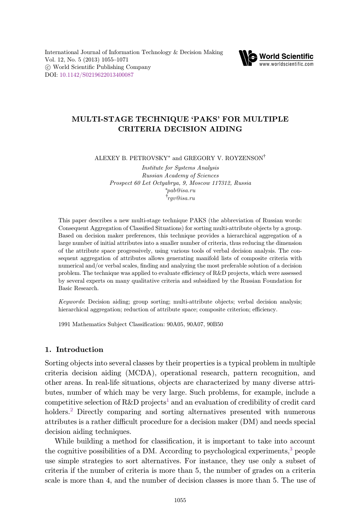

# MULTI-STAGE TECHNIQUE `PAKS' FOR MULTIPLE CRITERIA DECISION AIDING

ALEXEY B. PETROVSKY\* and GREGORY V. ROYZENSON†

Institute for Systems Analysis Russian Academy of Sciences Prospect 60 Let Octyabrya, 9, Moscow 117312, Russia \*pab@isa.ru  $^\dagger$ rqv@isa.ru rgv@isa.ru

This paper describes a new multi-stage technique PAKS (the abbreviation of Russian words: Consequent Aggregation of Classified Situations) for sorting multi-attribute objects by a group. Based on decision maker preferences, this technique provides a hierarchical aggregation of a large number of initial attributes into a smaller number of criteria, thus reducing the dimension of the attribute space progressively, using various tools of verbal decision analysis. The consequent aggregation of attributes allows generating manifold lists of composite criteria with numerical and/or verbal scales, finding and analyzing the most preferable solution of a decision problem. The technique was applied to evaluate efficiency of R&D projects, which were assessed by several experts on many qualitative criteria and subsidized by the Russian Foundation for Basic Research.

Keywords: Decision aiding; group sorting; multi-attribute objects; verbal decision analysis; hierarchical aggregation; reduction of attribute space; composite criterion; efficiency.

1991 Mathematics Subject Classification: 90A05, 90A07, 90B50

# 1. Introduction

Sorting objects into several classes by their properties is a typical problem in multiple criteria decision aiding (MCDA), operational research, pattern recognition, and other areas. In real-life situations, objects are characterized by many diverse attributes, number of which may be very large. Such problems, for example, include a competitive selection of  $R\&D$  projects<sup>[1](#page-15-0)</sup> and an evaluation of credibility of credit card holders.<sup>[2](#page-15-0)</sup> Directly comparing and sorting alternatives presented with numerous attributes is a rather difficult procedure for a decision maker (DM) and needs special decision aiding techniques.

While building a method for classification, it is important to take into account the cognitive possibilities of a DM. According to psychological experiments,<sup>3</sup> people use simple strategies to sort alternatives. For instance, they use only a subset of criteria if the number of criteria is more than 5, the number of grades on a criteria scale is more than 4, and the number of decision classes is more than 5. The use of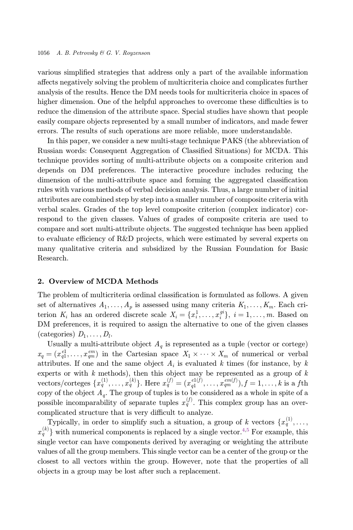various simplified strategies that address only a part of the available information a®ects negatively solving the problem of multicriteria choice and complicates further analysis of the results. Hence the DM needs tools for multicriteria choice in spaces of higher dimension. One of the helpful approaches to overcome these difficulties is to reduce the dimension of the attribute space. Special studies have shown that people easily compare objects represented by a small number of indicators, and made fewer errors. The results of such operations are more reliable, more understandable.

In this paper, we consider a new multi-stage technique PAKS (the abbreviation of Russian words: Consequent Aggregation of Classified Situations) for MCDA. This technique provides sorting of multi-attribute objects on a composite criterion and depends on DM preferences. The interactive procedure includes reducing the dimension of the multi-attribute space and forming the aggregated classification rules with various methods of verbal decision analysis. Thus, a large number of initial attributes are combined step by step into a smaller number of composite criteria with verbal scales. Grades of the top level composite criterion (complex indicator) correspond to the given classes. Values of grades of composite criteria are used to compare and sort multi-attribute objects. The suggested technique has been applied to evaluate efficiency of R&D projects, which were estimated by several experts on many qualitative criteria and subsidized by the Russian Foundation for Basic Research.

#### 2. Overview of MCDA Methods

The problem of multicriteria ordinal classification is formulated as follows. A given set of alternatives  $A_1, \ldots, A_p$  is assessed using many criteria  $K_1, \ldots, K_m$ . Each criterion  $K_i$  has an ordered discrete scale  $X_i = \{x_i^1, \ldots, x_i^{gi}\}, i = 1, \ldots, m$ . Based on  $\Box M$  proferences it is required to assign the alternative to one of the given classes DM preferences, it is required to assign the alternative to one of the given classes (categories)  $D_1, \ldots, D_l$ .

Usually a multi-attribute object  $A_q$  is represented as a tuple (vector or cortege)  $x_q = (x_q^{e_1}, \ldots, x_{qm}^{em})$  in the Cartesian space  $X_1 \times \cdots \times X_m$  of numerical or verbal<br>ottributes If and and the space object A is expluded k times (for instance, by k attributes. If one and the same object  $A_i$  is evaluated k times (for instance, by k experts or with  $k$  methods), then this object may be represented as a group of  $k$ vectors/corteges  $\{x_q^{(1)}, \ldots, x_q^{(k)}\}$ . Here  $x_q^{(f)} = (x_{q1}^{el(f)}, \ldots, x_{qm}^{em(f)}), f = 1, \ldots, k$  is a fth copy of the object  $A_q$ . The group of tuples is to be considered as a whole in spite of a possible incomparability of separate tuples  $x_q^{(f)}$ . This complex group has an overcomplicated structure that is very difficult to analyze.

Typically, in order to simplify such a situation, a group of k vectors  $\{x_q^{(1)}, \ldots,$  $x_a^{(k)}$  with numerical components is replaced by a single vector.<sup>[4,5](#page-15-0)</sup> For example, this single vector can have components derived by averaging or weighting the attribute values of all the group members. This single vector can be a center of the group or the closest to all vectors within the group. However, note that the properties of all objects in a group may be lost after such a replacement.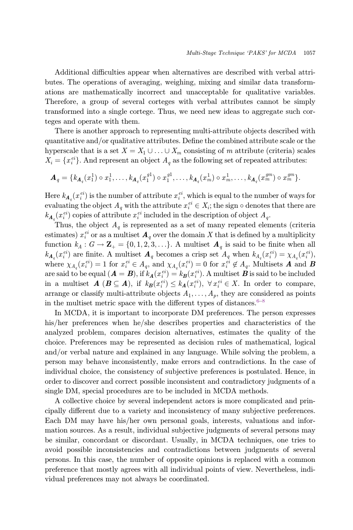Additional difficulties appear when alternatives are described with verbal attributes. The operations of averaging, weighing, mixing and similar data transformations are mathematically incorrect and unacceptable for qualitative variables. Therefore, a group of several corteges with verbal attributes cannot be simply transformed into a single cortege. Thus, we need new ideas to aggregate such corteges and operate with them.

There is another approach to representing multi-attribute objects described with quantitative and/or qualitative attributes. Define the combined attribute scale or the hyperscale that is a set  $X = X_1 \cup ... \cup X_m$  consisting of m attribute (criteria) scales  $X_i = \{x_i^{ei}\}\.$  And represent an object  $A_q$  as the following set of repeated attributes:

$$
\boldsymbol{A}_q = \{k_{\boldsymbol{A}_q}(x_1^1) \circ x_1^1, \dots, k_{\boldsymbol{A}_q}(x_1^{g1}) \circ x_1^{g1}, \dots, k_{\boldsymbol{A}_q}(x_m^1) \circ x_m^1, \dots, k_{\boldsymbol{A}_q}(x_m^{gm}) \circ x_m^{gm}\}.
$$

Here  $k_{A_q}(x_i^{ei})$  is the number of attribute  $x_i^{ei}$ , which is equal to the number of ways for evaluating the object A with the attribute  $x_i^{ei} \in X$  ; the given a denotes that there are evaluating the object  $A_q$  with the attribute  $x_i^{ei} \in X_i$ ; the sign  $\circ$  denotes that there are  $k_{A_q}(x_i^{ei})$  copies of attribute  $x_i^{ei}$  included in the description of object  $A_q$ .<br>Thus the object  $A_q$  is represented as a set of many repeated elements

Thus, the object  $A_q$  is represented as a set of many repeated elements (criteria estimates)  $x_i^{ei}$  or as a multiset  $\mathbf{A}_q$  over the domain X that is defined by a multiplicity function  $k_A : G \to \mathbb{Z}_+ = \{0, 1, 2, 3, \ldots\}$ . A multiset  $\mathbf{A}_q$  is said to be finite when all  $k_{A_q}(x_i^{ei})$  are finite. A multiset  $A_q$  becomes a crisp set  $A_q$  when  $k_{A_q}(x_i^{ei}) = \chi_{A_q}(x_i^{ei})$ where  $\chi_{A_q}(x_i^{ei}) = 1$  for  $x_i^{ei} \in A_q$ , and  $\chi_{A_q}(x_i^{ei}) = 0$  for  $x_i^{ei} \notin A_q$ . Multisets **A** and **B**<br>are said to be sound (**A** = **B**) if  $h_q(x_i^{ei}) = h_q(x_i^{ei})$ . A multiset **B** is said to be included are said to be equal  $(\mathbf{A} = \mathbf{B})$ , if  $k_{\mathbf{A}}(x_i^{ei}) = k_{\mathbf{B}}(x_i^{ei})$ . A multiset  $\mathbf{B}$  is said to be included<br>in a multiset  $\mathbf{A}$  ( $\mathbf{B} \subset \mathbf{A}$ ), if  $k_{\mathbf{A}}(x_i^{ei}) \leq k_{\mathbf{A}}(x_i^{ei})$ ,  $\forall x_i^{ei} \in X$ . In order in a multiset  $A(B \subseteq A)$ , if  $k_B(x_i^{ei}) \leq k_A(x_i^{ei})$ ,  $\forall x_i^{ei} \in X$ . In order to compare, arrange or classify multi-attribute objects  $A_1, \ldots, A_p$ , they are considered as points in the multiset metric space with the different types of distances.<sup> $6-8$  $6-8$  $6-8$ </sup>

In MCDA, it is important to incorporate DM preferences. The person expresses his/her preferences when he/she describes properties and characteristics of the analyzed problem, compares decision alternatives, estimates the quality of the choice. Preferences may be represented as decision rules of mathematical, logical and/or verbal nature and explained in any language. While solving the problem, a person may behave inconsistently, make errors and contradictions. In the case of individual choice, the consistency of subjective preferences is postulated. Hence, in order to discover and correct possible inconsistent and contradictory judgments of a single DM, special procedures are to be included in MCDA methods.

A collective choice by several independent actors is more complicated and principally different due to a variety and inconsistency of many subjective preferences. Each DM may have his/her own personal goals, interests, valuations and information sources. As a result, individual subjective judgments of several persons may be similar, concordant or discordant. Usually, in MCDA techniques, one tries to avoid possible inconsistencies and contradictions between judgments of several persons. In this case, the number of opposite opinions is replaced with a common preference that mostly agrees with all individual points of view. Nevertheless, individual preferences may not always be coordinated.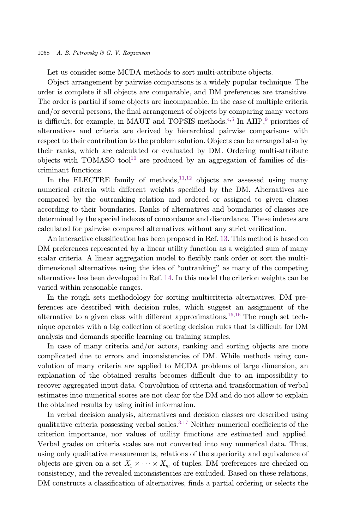Let us consider some MCDA methods to sort multi-attribute objects.

Object arrangement by pairwise comparisons is a widely popular technique. The order is complete if all objects are comparable, and DM preferences are transitive. The order is partial if some objects are incomparable. In the case of multiple criteria and/or several persons, the final arrangement of objects by comparing many vectors is difficult, for example, in MAUT and TOPSIS methods.<sup>4,5</sup> In AHP,<sup>[9](#page-16-0)</sup> priorities of alternatives and criteria are derived by hierarchical pairwise comparisons with respect to their contribution to the problem solution. Objects can be arranged also by their ranks, which are calculated or evaluated by DM. Ordering multi-attribute objects with TOMASO tool<sup>[10](#page-16-0)</sup> are produced by an aggregation of families of discriminant functions.

In the ELECTRE family of methods,  $11,12$  objects are assessed using many numerical criteria with different weights specified by the DM. Alternatives are compared by the outranking relation and ordered or assigned to given classes according to their boundaries. Ranks of alternatives and boundaries of classes are determined by the special indexes of concordance and discordance. These indexes are calculated for pairwise compared alternatives without any strict verification.

An interactive classification has been proposed in Ref. [13.](#page-16-0) This method is based on DM preferences represented by a linear utility function as a weighted sum of many scalar criteria. A linear aggregation model to flexibly rank order or sort the multidimensional alternatives using the idea of "outranking" as many of the competing alternatives has been developed in Ref. [14.](#page-16-0) In this model the criterion weights can be varied within reasonable ranges.

In the rough sets methodology for sorting multicriteria alternatives, DM preferences are described with decision rules, which suggest an assignment of the alternative to a given class with different approximations.<sup>[15](#page-16-0),[16](#page-16-0)</sup> The rough set technique operates with a big collection of sorting decision rules that is difficult for DM analysis and demands specific learning on training samples.

In case of many criteria and/or actors, ranking and sorting objects are more complicated due to errors and inconsistencies of DM. While methods using convolution of many criteria are applied to MCDA problems of large dimension, an explanation of the obtained results becomes difficult due to an impossibility to recover aggregated input data. Convolution of criteria and transformation of verbal estimates into numerical scores are not clear for the DM and do not allow to explain the obtained results by using initial information.

In verbal decision analysis, alternatives and decision classes are described using qualitative criteria possessing verbal scales.<sup>[3](#page-15-0)[,17](#page-16-0)</sup> Neither numerical coefficients of the criterion importance, nor values of utility functions are estimated and applied. Verbal grades on criteria scales are not converted into any numerical data. Thus, using only qualitative measurements, relations of the superiority and equivalence of objects are given on a set  $X_1 \times \cdots \times X_m$  of tuples. DM preferences are checked on<br>consistency, and the revealed inconsistencies are excluded. Based on these relations consistency, and the revealed inconsistencies are excluded. Based on these relations, DM constructs a classification of alternatives, finds a partial ordering or selects the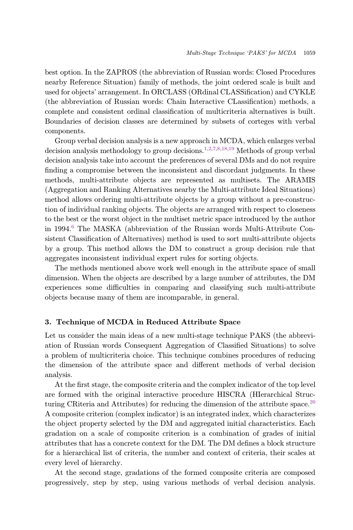best option. In the ZAPROS (the abbreviation of Russian words: Closed Procedures nearby Reference Situation) family of methods, the joint ordered scale is built and used for objects' arrangement. In ORCLASS (ORdinal CLASSification) and CYKLE  $(the abbreviation of Russian words: Chain Interactive Classification) methods, a$ complete and consistent ordinal classification of multicriteria alternatives is built. Boundaries of decision classes are determined by subsets of corteges with verbal components.

Group verbal decision analysis is a new approach in MCDA, which enlarges verbal decision analysis methodology to group decisions.<sup>[1,2,7,8,](#page-15-0)[18,19](#page-16-0)</sup> Methods of group verbal decision analysis take into account the preferences of several DMs and do not require finding a compromise between the inconsistent and discordant judgments. In these methods, multi-attribute objects are represented as multisets. The ARAMIS (Aggregation and Ranking Alternatives nearby the Multi-attribute Ideal Situations) method allows ordering multi-attribute objects by a group without a pre-construction of individual ranking objects. The objects are arranged with respect to closeness to the best or the worst object in the multiset metric space introduced by the author in 1994.<sup>[6](#page-15-0)</sup> The MASKA (abbreviation of the Russian words Multi-Attribute Consistent Classification of Alternatives) method is used to sort multi-attribute objects by a group. This method allows the DM to construct a group decision rule that aggregates inconsistent individual expert rules for sorting objects.

The methods mentioned above work well enough in the attribute space of small dimension. When the objects are described by a large number of attributes, the DM experiences some difficulties in comparing and classifying such multi-attribute objects because many of them are incomparable, in general.

# 3. Technique of MCDA in Reduced Attribute Space

Let us consider the main ideas of a new multi-stage technique PAKS (the abbreviation of Russian words Consequent Aggregation of Classified Situations) to solve a problem of multicriteria choice. This technique combines procedures of reducing the dimension of the attribute space and different methods of verbal decision analysis.

At the first stage, the composite criteria and the complex indicator of the top level are formed with the original interactive procedure HISCRA (HIerarchical Struc-turing CRiteria and Attributes) for reducing the dimension of the attribute space.<sup>[20](#page-16-0)</sup> A composite criterion (complex indicator) is an integrated index, which characterizes the object property selected by the DM and aggregated initial characteristics. Each gradation on a scale of composite criterion is a combination of grades of initial attributes that has a concrete context for the DM. The DM defines a block structure for a hierarchical list of criteria, the number and context of criteria, their scales at every level of hierarchy.

At the second stage, gradations of the formed composite criteria are composed progressively, step by step, using various methods of verbal decision analysis.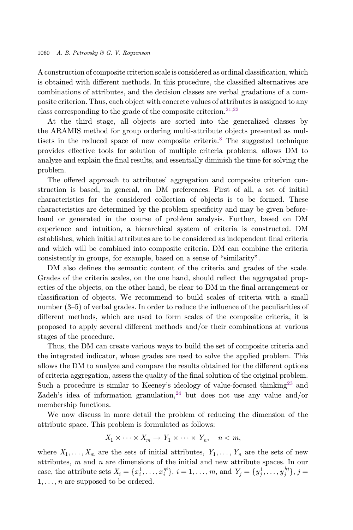A construction of composite criterion scale is considered as ordinal classification, which is obtained with different methods. In this procedure, the classified alternatives are combinations of attributes, and the decision classes are verbal gradations of a composite criterion. Thus, each object with concrete values of attributes is assigned to any class corresponding to the grade of the composite criterion.<sup>[21,22](#page-16-0)</sup>

At the third stage, all objects are sorted into the generalized classes by the ARAMIS method for group ordering multi-attribute objects presented as mul-tisets in the reduced space of new composite criteria.<sup>[8](#page-15-0)</sup> The suggested technique provides effective tools for solution of multiple criteria problems, allows DM to analyze and explain the final results, and essentially diminish the time for solving the problem.

The offered approach to attributes' aggregation and composite criterion construction is based, in general, on DM preferences. First of all, a set of initial characteristics for the considered collection of objects is to be formed. These characteristics are determined by the problem specificity and may be given beforehand or generated in the course of problem analysis. Further, based on DM experience and intuition, a hierarchical system of criteria is constructed. DM establishes, which initial attributes are to be considered as independent final criteria and which will be combined into composite criteria. DM can combine the criteria consistently in groups, for example, based on a sense of "similarity".

DM also defines the semantic content of the criteria and grades of the scale. Grades of the criteria scales, on the one hand, should reflect the aggregated properties of the objects, on the other hand, be clear to DM in the final arrangement or classification of objects. We recommend to build scales of criteria with a small number  $(3-5)$  of verbal grades. In order to reduce the influence of the peculiarities of different methods, which are used to form scales of the composite criteria, it is proposed to apply several different methods and/or their combinations at various stages of the procedure.

Thus, the DM can create various ways to build the set of composite criteria and the integrated indicator, whose grades are used to solve the applied problem. This allows the DM to analyze and compare the results obtained for the different options of criteria aggregation, assess the quality of the final solution of the original problem. Such a procedure is similar to Keeney's ideology of value-focused thinking<sup>[23](#page-16-0)</sup> and Zadeh's idea of information granulation,  $24$  but does not use any value and/or membership functions.

We now discuss in more detail the problem of reducing the dimension of the attribute space. This problem is formulated as follows:

$$
X_1 \times \cdots \times X_m \to Y_1 \times \cdots \times Y_n, \quad n < m,
$$

where  $X_1, \ldots, X_m$  are the sets of initial attributes,  $Y_1, \ldots, Y_n$  are the sets of new attributes,  $m$  and  $n$  are dimensions of the initial and new attribute spaces. In our case, the attribute sets  $X_i = \{x_i^1, \ldots, x_i^{gi}\}, i = 1, \ldots, m$ , and  $Y_j = \{y_j^1, \ldots, y_j^{hj}\}, j = 1, \ldots, m$  $1, \ldots, n$  are supposed to be ordered.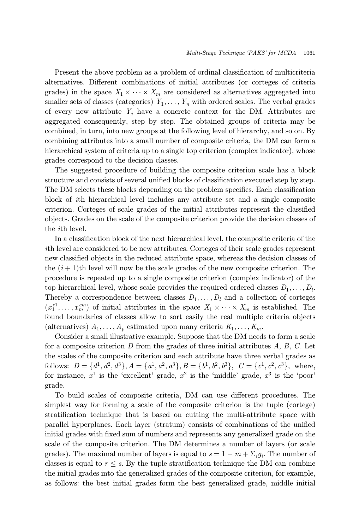Present the above problem as a problem of ordinal classification of multicriteria alternatives. Different combinations of initial attributes (or corteges of criteria grades) in the space  $X_1 \times \cdots \times X_m$  are considered as alternatives aggregated into<br>
smaller sets of elecces (epteconics)  $Y$  with endeed scales. The verbal grades smaller sets of classes (categories)  $Y_1, \ldots, Y_n$  with ordered scales. The verbal grades of every new attribute  $Y_i$  have a concrete context for the DM. Attributes are aggregated consequently, step by step. The obtained groups of criteria may be combined, in turn, into new groups at the following level of hierarchy, and so on. By combining attributes into a small number of composite criteria, the DM can form a hierarchical system of criteria up to a single top criterion (complex indicator), whose grades correspond to the decision classes.

The suggested procedure of building the composite criterion scale has a block structure and consists of several unified blocks of classification executed step by step. The DM selects these blocks depending on the problem specifics. Each classification block of ith hierarchical level includes any attribute set and a single composite criterion. Corteges of scale grades of the initial attributes represent the classified objects. Grades on the scale of the composite criterion provide the decision classes of the ith level.

In a classification block of the next hierarchical level, the composite criteria of the ith level are considered to be new attributes. Corteges of their scale grades represent new classified objects in the reduced attribute space, whereas the decision classes of the  $(i+1)$ th level will now be the scale grades of the new composite criterion. The procedure is repeated up to a single composite criterion (complex indicator) of the top hierarchical level, whose scale provides the required ordered classes  $D_1, \ldots, D_l$ . Thereby a correspondence between classes  $D_1, \ldots, D_l$  and a collection of corteges  $(x_1^{e_1}, \ldots, x_m^{em})$  of initial attributes in the space  $X_1 \times \cdots \times X_m$  is established. The found boundaries of classes allow to set easily the real multiple criteria objects  $f(x) = \frac{m}{m}$  found boundaries of classes allow to sort easily the real multiple criteria objects (alternatives)  $A_1, \ldots, A_p$  estimated upon many criteria  $K_1, \ldots, K_m$ .

Consider a small illustrative example. Suppose that the DM needs to form a scale for a composite criterion  $D$  from the grades of three initial attributes  $A, B, C$ . Let the scales of the composite criterion and each attribute have three verbal grades as follows:  $D = \{d^1, d^2, d^3\}, A = \{a^1, a^2, a^3\}, B = \{b^1, b^2, b^3\}, C = \{c^1, c^2, c^3\}, \text{ where,}$ for instance,  $x^1$  is the 'excellent' grade,  $x^2$  is the 'middle' grade,  $x^3$  is the 'poor' grade.

To build scales of composite criteria, DM can use different procedures. The simplest way for forming a scale of the composite criterion is the tuple (cortege) stratification technique that is based on cutting the multi-attribute space with parallel hyperplanes. Each layer (stratum) consists of combinations of the unified initial grades with fixed sum of numbers and represents any generalized grade on the scale of the composite criterion. The DM determines a number of layers (or scale grades). The maximal number of layers is equal to  $s = 1 - m + \sum_i g_i$ . The number of classes is equal to  $r \leq s$ . By the tuple stratification technique the DM can combine the initial grades into the generalized grades of the composite criterion, for example, as follows: the best initial grades form the best generalized grade, middle initial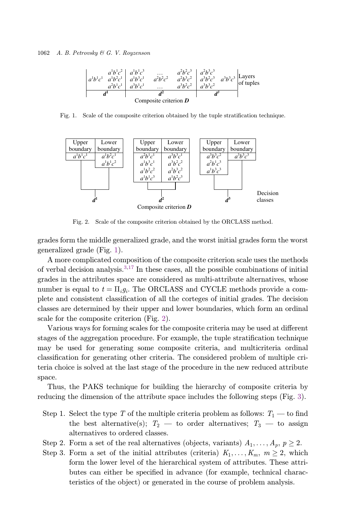

Fig. 1. Scale of the composite criterion obtained by the tuple stratification technique.



Fig. 2. Scale of the composite criterion obtained by the ORCLASS method.

grades form the middle generalized grade, and the worst initial grades form the worst generalized grade (Fig. 1).

A more complicated composition of the composite criterion scale uses the methods of verbal decision analysis. $3,17$  $3,17$  In these cases, all the possible combinations of initial grades in the attributes space are considered as multi-attribute alternatives, whose number is equal to  $t = \prod_i g_i$ . The ORCLASS and CYCLE methods provide a complete and consistent classification of all the corteges of initial grades. The decision classes are determined by their upper and lower boundaries, which form an ordinal scale for the composite criterion (Fig. 2).

Various ways for forming scales for the composite criteria may be used at different stages of the aggregation procedure. For example, the tuple stratification technique may be used for generating some composite criteria, and multicriteria ordinal classification for generating other criteria. The considered problem of multiple criteria choice is solved at the last stage of the procedure in the new reduced attribute space.

Thus, the PAKS technique for building the hierarchy of composite criteria by reducing the dimension of the attribute space includes the following steps (Fig. [3](#page-8-0)).

- Step 1. Select the type T of the multiple criteria problem as follows:  $T_1$  to find the best alternative(s);  $T_2$  — to order alternatives;  $T_3$  — to assign alternatives to ordered classes.
- Step 2. Form a set of the real alternatives (objects, variants)  $A_1, \ldots, A_p, p \ge 2$ .
- Step 3. Form a set of the initial attributes (criteria)  $K_1, \ldots, K_m, m \geq 2$ , which form the lower level of the hierarchical system of attributes. These attributes can either be specified in advance (for example, technical characteristics of the object) or generated in the course of problem analysis.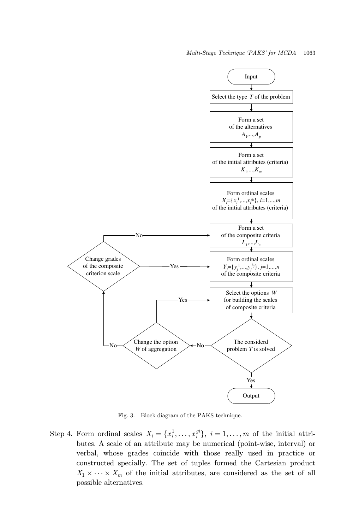<span id="page-8-0"></span>

Fig. 3. Block diagram of the PAKS technique.

Step 4. Form ordinal scales  $X_i = \{x_i^1, \ldots, x_i^{gi}\}, i = 1, \ldots, m$  of the initial attri-<br>bytes A scale of an attribute may be numerical (point wise interval) or butes. A scale of an attribute may be numerical (point-wise, interval) or verbal, whose grades coincide with those really used in practice or constructed specially. The set of tuples formed the Cartesian product  $X_1 \times \cdots \times X_m$  of the initial attributes, are considered as the set of all normalized  $\sum_{m=1}^{\infty}$  -  $\sum_{m=1}^{\infty}$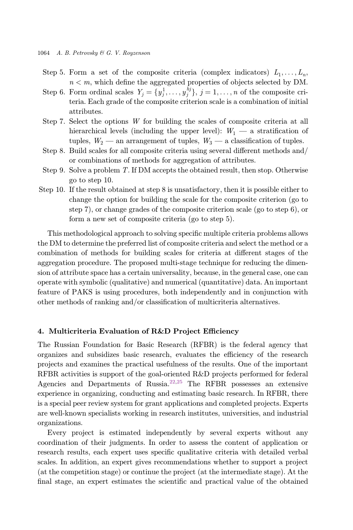- Step 5. Form a set of the composite criteria (complex indicators)  $L_1, \ldots, L_n$ ,  $n < m$ , which define the aggregated properties of objects selected by DM.
- Step 6. Form ordinal scales  $Y_j = \{y_j^1, \ldots, y_j^{h_j}\}, j = 1, \ldots, n$  of the composite cri-<br>toria. Each grade of the composite gritorian scale is a combination of initial teria. Each grade of the composite criterion scale is a combination of initial attributes.
- Step 7. Select the options W for building the scales of composite criteria at all hierarchical levels (including the upper level):  $W_1$  — a stratification of tuples,  $W_2$  — an arrangement of tuples,  $W_3$  — a classification of tuples.
- Step 8. Build scales for all composite criteria using several different methods and/ or combinations of methods for aggregation of attributes.
- Step 9. Solve a problem T. If DM accepts the obtained result, then stop. Otherwise go to step 10.
- Step 10. If the result obtained at step 8 is unsatisfactory, then it is possible either to change the option for building the scale for the composite criterion (go to step 7), or change grades of the composite criterion scale (go to step 6), or form a new set of composite criteria (go to step 5).

This methodological approach to solving specific multiple criteria problems allows the DM to determine the preferred list of composite criteria and select the method or a combination of methods for building scales for criteria at different stages of the aggregation procedure. The proposed multi-stage technique for reducing the dimension of attribute space has a certain universality, because, in the general case, one can operate with symbolic (qualitative) and numerical (quantitative) data. An important feature of PAKS is using procedures, both independently and in conjunction with other methods of ranking and/or classification of multicriteria alternatives.

## 4. Multicriteria Evaluation of R&D Project Efficiency

The Russian Foundation for Basic Research (RFBR) is the federal agency that organizes and subsidizes basic research, evaluates the efficiency of the research projects and examines the practical usefulness of the results. One of the important RFBR activities is support of the goal-oriented R&D projects performed for federal Agencies and Departments of Russia.<sup>[22,25](#page-16-0)</sup> The RFBR possesses an extensive experience in organizing, conducting and estimating basic research. In RFBR, there is a special peer review system for grant applications and completed projects. Experts are well-known specialists working in research institutes, universities, and industrial organizations.

Every project is estimated independently by several experts without any coordination of their judgments. In order to assess the content of application or research results, each expert uses specific qualitative criteria with detailed verbal scales. In addition, an expert gives recommendations whether to support a project (at the competition stage) or continue the project (at the intermediate stage). At the final stage, an expert estimates the scientific and practical value of the obtained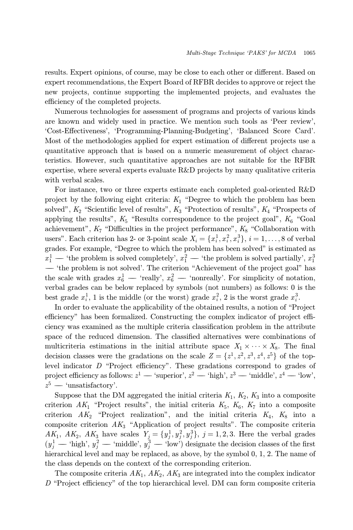results. Expert opinions, of course, may be close to each other or different. Based on expert recommendations, the Expert Board of RFBR decides to approve or reject the new projects, continue supporting the implemented projects, and evaluates the efficiency of the completed projects.

Numerous technologies for assessment of programs and projects of various kinds are known and widely used in practice. We mention such tools as `Peer review', `Cost-E®ectiveness', `Programming-Planning-Budgeting', `Balanced Score Card'. Most of the methodologies applied for expert estimation of different projects use a quantitative approach that is based on a numeric measurement of object characteristics. However, such quantitative approaches are not suitable for the RFBR expertise, where several experts evaluate R&D projects by many qualitative criteria with verbal scales.

For instance, two or three experts estimate each completed goal-oriented R&D project by the following eight criteria:  $K_1$  "Degree to which the problem has been solved",  $K_2$  "Scientific level of results",  $K_3$  "Protection of results",  $K_4$  "Prospects of applying the results",  $K_5$  "Results correspondence to the project goal",  $K_6$  "Goal achievement",  $K_7$  "Difficulties in the project performance",  $K_8$  "Collaboration with users". Each criterion has 2- or 3-point scale  $X_i = \{x_i^1, x_i^2, x_i^3\}, i = 1, \ldots, 8$  of verbal<br>grades. For example, "Degree to which the problem has been solved" is estimated as grades. For example, "Degree to which the problem has been solved" is estimated as  $x_1^1$  — 'the problem is solved completely',  $x_1^2$  — 'the problem is solved partially',  $x_1^3$ <br>"the problem is not solved'. The griterian "Achievement of the project goal" has — 'the problem is not solved'. The criterion "Achievement of the project goal" has the scale with grades  $x_6^1$  — 'really',  $x_6^2$  — 'nonreally'. For simplicity of notation, verbal grades can be below replaced by symbols (not numbers) as follows: 0 is the best grade  $x_i^1$ , 1 is the middle (or the worst) grade  $x_i^2$ , 2 is the worst grade  $x_i^3$ .

In order to evaluate the applicability of the obtained results, a notion of \Project efficiency" has been formalized. Constructing the complex indicator of project efficiency was examined as the multiple criteria classification problem in the attribute space of the reduced dimension. The classified alternatives were combinations of multicriteria estimations in the initial attribute space  $X_1 \times \cdots \times X_8$ . The final<br>decision classes were the gradations on the scale  $Z = \{x_1^1, x_2^2, x_3^3, x_4^4, x_5^5\}$  of the top decision classes were the gradations on the scale  $Z = \{z^1, z^2, z^3, z^4, z^5\}$  of the top-<br>level indicator D "Project officiency". These gradations correspond to grades of level indicator  $D$  "Project efficiency". These gradations correspond to grades of project e±ciency as follows: <sup>z</sup><sup>1</sup> `superior', <sup>z</sup><sup>2</sup> `high', <sup>z</sup><sup>3</sup> `middle', <sup>z</sup><sup>4</sup> `low',  $z^5$  — 'unsatisfactory'.

Suppose that the DM aggregated the initial criteria  $K_1, K_2, K_3$  into a composite criterion  $AK_1$  "Project results", the initial criteria  $K_5$ ,  $K_6$ ,  $K_7$  into a composite criterion  $AK_2$  "Project realization", and the initial criteria  $K_4$ ,  $K_8$  into a composite criterion  $AK_3$  "Application of project results". The composite criteria AK<sub>1</sub>, AK<sub>2</sub>, AK<sub>3</sub> have scales  $Y_j = \{y_j^1, y_j^2, y_j^3\}$ ,  $j = 1, 2, 3$ . Here the verbal grades  $(y_j^1$  — 'high',  $y_j^2$  — 'middle',  $y_j^3$  — 'low') designate the decision classes of the first higher physical lovel and may b hierarchical level and may be replaced, as above, by the symbol 0, 1, 2. The name of the class depends on the context of the corresponding criterion.

The composite criteria  $AK_1$ ,  $AK_2$ ,  $AK_3$  are integrated into the complex indicator  $D$  "Project efficiency" of the top hierarchical level. DM can form composite criteria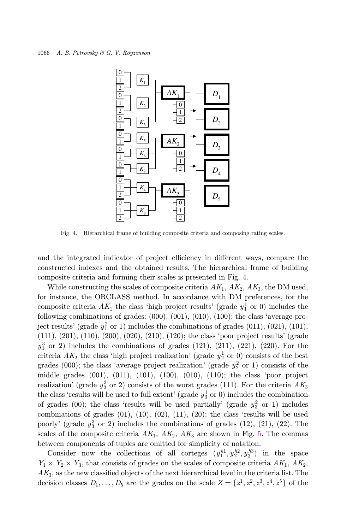

Fig. 4. Hierarchical frame of building composite criteria and composing rating scales.

and the integrated indicator of project efficiency in different ways, compare the constructed indexes and the obtained results. The hierarchical frame of building composite criteria and forming their scales is presented in Fig. 4.

While constructing the scales of composite criteria  $AK_1$ ,  $AK_2$ ,  $AK_3$ , the DM used, for instance, the ORCLASS method. In accordance with DM preferences, for the composite criteria  $AK_1$  the class 'high project results' (grade  $y_1^1$  or 0) includes the following combinations of grades:  $(000)$ ,  $(001)$ ,  $(010)$ ,  $(100)$ ; the class 'average project results' (grade  $y_1^2$  or 1) includes the combinations of grades (011), (021), (101), (111), (201), (110), (200), (020), (210), (120); the class `poor project results' (grade  $y_1^3$  or 2) includes the combinations of grades (121), (211), (221), (220). For the criteria  $AK_2$  the class 'high project realization' (grade  $y_2^1$  or 0) consists of the best grades (000); the class 'average project realization' (grade  $y_2^2$  or 1) consists of the middle grades (001), (011), (101), (100), (010), (110); the class `poor project realization' (grade  $y_2^3$  or 2) consists of the worst grades (111). For the criteria  $AK_3$ the class 'results will be used to full extent' (grade  $y_3^1$  or 0) includes the combination of grades (00); the class 'results will be used partially' (grade  $y_3^2$  or 1) includes combinations of grades  $(01)$ ,  $(10)$ ,  $(02)$ ,  $(11)$ ,  $(20)$ ; the class 'results will be used poorly' (grade  $y_3^3$  or 2) includes the combinations of grades (12), (21), (22). The scales of the composite criteria  $AK_1$ ,  $AK_2$ ,  $AK_3$  are shown in Fig. [5.](#page-12-0) The commas between components of tuples are omitted for simplicity of notation.

Consider now the collections of all corteges  $(y_1^{h1}, y_2^{h2}, y_3^{h3})$  in the space  $Y_1 \times Y_2 \times Y_3$ , that consists of grades on the scales of composite criteria  $AK_1$ ,  $AK_2$ ,  $AK_3$ , as the new classified objects of the next hierarchical level in the criteria list. The decision classes  $D_1, \ldots, D_5$  are the grades on the scale  $Z = \{z^1, z^2, z^3, z^4, z^5\}$  of the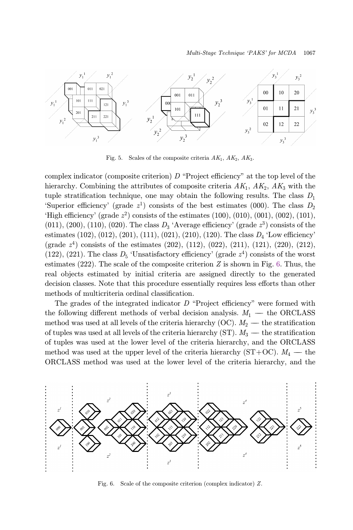<span id="page-12-0"></span>

Fig. 5. Scales of the composite criteria  $AK_1$ ,  $AK_2$ ,  $AK_3$ .

complex indicator (composite criterion)  $D$  "Project efficiency" at the top level of the hierarchy. Combining the attributes of composite criteria  $AK_1$ ,  $AK_2$ ,  $AK_3$  with the tuple stratification technique, one may obtain the following results. The class  $D_1$ 'Superior efficiency' (grade  $z^1$ ) consists of the best estimates (000). The class  $D_2$ 'High efficiency' (grade  $z^2$ ) consists of the estimates (100), (010), (001), (002), (101),  $(011)$ ,  $(200)$ ,  $(110)$ ,  $(020)$ . The class  $D_3$  'Average efficiency' (grade  $z^3$ ) consists of the estimates (102), (012), (201), (111), (021), (210), (120). The class  $D_4$  'Low efficiency' (grade  $z^4$ ) consists of the estimates (202), (112), (022), (211), (121), (220), (212), (122), (221). The class  $D_5$  'Unsatisfactory efficiency' (grade  $z^4$ ) consists of the worst estimates  $(222)$ . The scale of the composite criterion Z is shown in Fig. 6. Thus, the real objects estimated by initial criteria are assigned directly to the generated decision classes. Note that this procedure essentially requires less efforts than other methods of multicriteria ordinal classification.

The grades of the integrated indicator  $D$  "Project efficiency" were formed with the following different methods of verbal decision analysis.  $M_1$  — the ORCLASS method was used at all levels of the criteria hierarchy (OC).  $M_2$  — the stratification of tuples was used at all levels of the criteria hierarchy (ST).  $M_3$  — the stratification of tuples was used at the lower level of the criteria hierarchy, and the ORCLASS method was used at the upper level of the criteria hierarchy  $(ST+OC)$ .  $M_4$  — the ORCLASS method was used at the lower level of the criteria hierarchy, and the



Fig. 6. Scale of the composite criterion (complex indicator) Z.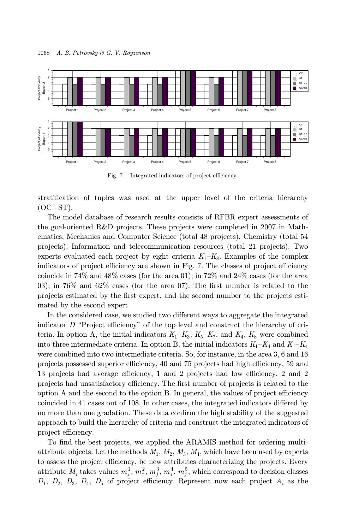<span id="page-13-0"></span>

Fig. 7. Integrated indicators of project efficiency.

stratification of tuples was used at the upper level of the criteria hierarchy  $(OC+ST)$ .

The model database of research results consists of RFBR expert assessments of the goal-oriented R&D projects. These projects were completed in 2007 in Mathematics, Mechanics and Computer Science (total 48 projects), Chemistry (total 54 projects), Information and telecommunication resources (total 21 projects). Two experts evaluated each project by eight criteria  $K_1-K_8$ . Examples of the complex indicators of project efficiency are shown in Fig. 7. The classes of project efficiency coincide in 74% and 48% cases (for the area 01); in 72% and 24% cases (for the area 03); in 76% and 62% cases (for the area 07). The first number is related to the projects estimated by the first expert, and the second number to the projects estimated by the second expert.

In the considered case, we studied two different ways to aggregate the integrated indicator  $D$  "Project efficiency" of the top level and construct the hierarchy of criteria. In option A, the initial indicators  $K_1-K_3$ ,  $K_5-K_7$ , and  $K_4$ ,  $K_8$  were combined into three intermediate criteria. In option B, the initial indicators  $K_1-K_4$  and  $K_1-K_4$ were combined into two intermediate criteria. So, for instance, in the area 3, 6 and 16 projects possessed superior efficiency, 40 and 75 projects had high efficiency, 59 and 13 projects had average efficiency, 1 and 2 projects had low efficiency, 2 and 2 projects had unsatisfactory efficiency. The first number of projects is related to the option  $A$  and the second to the option  $B$ . In general, the values of project efficiency coincided in 41 cases out of 108. In other cases, the integrated indicators differed by no more than one gradation. These data confirm the high stability of the suggested approach to build the hierarchy of criteria and construct the integrated indicators of project efficiency.

To find the best projects, we applied the ARAMIS method for ordering multiattribute objects. Let the methods  $M_1, M_2, M_3, M_4$ , which have been used by experts to assess the project efficiency, be new attributes characterizing the projects. Every attribute  $M_j$  takes values  $m_j^1, m_j^2, m_j^3, m_j^4, m_j^5$ , which correspond to decision classes  $D_1, D_2, D_3, D_4, D_5$  of project efficiency. Represent now each project  $A_i$  as the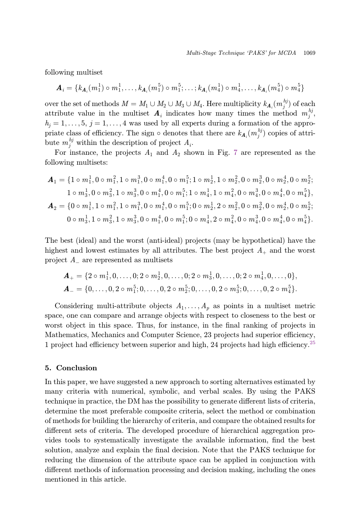following multiset

$$
\mathbf{A}_i = \{k_{\mathbf{A}_i}(m_1^1) \circ m_1^1, \dots, k_{\mathbf{A}_i}(m_1^5) \circ m_1^5; \dots; k_{\mathbf{A}_i}(m_4^1) \circ m_4^1, \dots, k_{\mathbf{A}_i}(m_4^5) \circ m_4^5\}
$$

over the set of methods  $M = M_1 \cup M_2 \cup M_3 \cup M_4$ . Here multiplicity  $k_{A_i}(m_j^{h_j})$  of each extribute value in the multiplicity  $A_i$  indicates how many times the mathod  $m_j^{h_j}$ attribute value in the multiset  $A_i$  indicates how many times the method  $m_j^{h_j}$ ,  $h_i = 1, \ldots, 5, j = 1, \ldots, 4$  was used by all experts during a formation of the appropriate class of efficiency. The sign  $\circ$  denotes that there are  $k_{\mathbf{A}_i}(m_j^{hj})$  copies of attri-<br>buto  $m_j^{hj}$  within the description of project  $A$ bute  $m_j^{hj}$  within the description of project  $A_i$ .

For instance, the projects  $A_1$  and  $A_2$  shown in Fig. [7](#page-13-0) are represented as the following multisets:

$$
A_1 = \{1 \circ m_1^1, 0 \circ m_1^2, 1 \circ m_1^3, 0 \circ m_1^4, 0 \circ m_1^5; 1 \circ m_2^1, 1 \circ m_2^2, 0 \circ m_2^3, 0 \circ m_2^4, 0 \circ m_2^5; 1 \circ m_3^1, 0 \circ m_3^2, 1 \circ m_3^3, 0 \circ m_1^4, 0 \circ m_1^5; 1 \circ m_4^1, 1 \circ m_4^2, 0 \circ m_4^3, 0 \circ m_4^4, 0 \circ m_4^5\},
$$
  
\n
$$
A_2 = \{0 \circ m_1^1, 1 \circ m_1^2, 1 \circ m_1^3, 0 \circ m_1^4, 0 \circ m_1^5; 0 \circ m_2^1, 2 \circ m_2^2, 0 \circ m_2^3, 0 \circ m_2^4, 0 \circ m_2^5; 0 \circ m_3^1, 1 \circ m_3^2, 1 \circ m_3^3, 0 \circ m_1^4, 0 \circ m_1^5; 0 \circ m_4^1, 2 \circ m_4^2, 0 \circ m_4^3, 0 \circ m_4^4, 0 \circ m_4^5\}.
$$

The best (ideal) and the worst (anti-ideal) projects (may be hypothetical) have the highest and lowest estimates by all attributes. The best project  $A_+$  and the worst project  $A_{-}$  are represented as multisets

$$
\mathbf{A}_{+} = \{2 \circ m_{1}^{1}, 0, \ldots, 0; 2 \circ m_{2}^{1}, 0, \ldots, 0; 2 \circ m_{3}^{1}, 0, \ldots, 0; 2 \circ m_{4}^{1}, 0, \ldots, 0\},
$$
  

$$
\mathbf{A}_{-} = \{0, \ldots, 0, 2 \circ m_{1}^{5}; 0, \ldots, 0, 2 \circ m_{2}^{5}; 0, \ldots, 0, 2 \circ m_{3}^{5}; 0, \ldots, 0, 2 \circ m_{4}^{5}\}.
$$

Considering multi-attribute objects  $A_1, \ldots, A_p$  as points in a multiset metric space, one can compare and arrange objects with respect to closeness to the best or worst object in this space. Thus, for instance, in the final ranking of projects in Mathematics, Mechanics and Computer Science, 23 projects had superior efficiency, 1 project had efficiency between superior and high, 24 projects had high efficiency.<sup>[25](#page-16-0)</sup>

# 5. Conclusion

In this paper, we have suggested a new approach to sorting alternatives estimated by many criteria with numerical, symbolic, and verbal scales. By using the PAKS technique in practice, the DM has the possibility to generate different lists of criteria, determine the most preferable composite criteria, select the method or combination of methods for building the hierarchy of criteria, and compare the obtained results for different sets of criteria. The developed procedure of hierarchical aggregation provides tools to systematically investigate the available information, find the best solution, analyze and explain the final decision. Note that the PAKS technique for reducing the dimension of the attribute space can be applied in conjunction with different methods of information processing and decision making, including the ones mentioned in this article.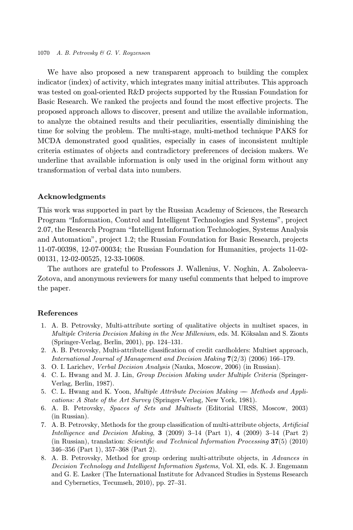<span id="page-15-0"></span>We have also proposed a new transparent approach to building the complex indicator (index) of activity, which integrates many initial attributes. This approach was tested on goal-oriented R&D projects supported by the Russian Foundation for Basic Research. We ranked the projects and found the most effective projects. The proposed approach allows to discover, present and utilize the available information, to analyze the obtained results and their peculiarities, essentially diminishing the time for solving the problem. The multi-stage, multi-method technique PAKS for MCDA demonstrated good qualities, especially in cases of inconsistent multiple criteria estimates of objects and contradictory preferences of decision makers. We underline that available information is only used in the original form without any transformation of verbal data into numbers.

### Acknowledgments

This work was supported in part by the Russian Academy of Sciences, the Research Program \Information, Control and Intelligent Technologies and Systems", project 2.07, the Research Program \Intelligent Information Technologies, Systems Analysis and Automation", project 1.2; the Russian Foundation for Basic Research, projects 11-07-00398, 12-07-00034; the Russian Foundation for Humanities, projects 11-02- 00131, 12-02-00525, 12-33-10608.

The authors are grateful to Professors J. Wallenius, V. Noghin, A. Zaboleeva-Zotova, and anonymous reviewers for many useful comments that helped to improve the paper.

#### References

- 1. A. B. Petrovsky, Multi-attribute sorting of qualitative objects in multiset spaces, in Multiple Criteria Decision Making in the New Millenium, eds. M. Köksalan and S. Zionts (Springer-Verlag, Berlin, 2001), pp. 124–131.
- 2. A. B. Petrovsky, Multi-attribute classification of credit cardholders: Multiset approach, International Journal of Management and Decision Making 7(2/3) (2006) 166–179.
- 3. O. I. Larichev, Verbal Decision Analysis (Nauka, Moscow, 2006) (in Russian).
- 4. C. L. Hwang and M. J. Lin, Group Decision Making under Multiple Criteria (Springer-Verlag, Berlin, 1987).
- 5. C. L. Hwang and K. Yoon, *Multiple Attribute Decision Making* Methods and Applications: A State of the Art Survey (Springer-Verlag, New York, 1981).
- 6. A. B. Petrovsky, Spaces of Sets and Multisets (Editorial URSS, Moscow, 2003) (in Russian).
- 7. A. B. Petrovsky, Methods for the group classification of multi-attribute objects, Artificial *Intelligence and Decision Making*, **3** (2009) 3–14 (Part 1), **4** (2009) 3–14 (Part 2) (in Russian), translation: *Scientific and Technical Information Processing*  $37(5)$  (2010) 346–356 (Part 1), 357–368 (Part 2).
- 8. A. B. Petrovsky, Method for group ordering multi-attribute objects, in Advances in Decision Technology and Intelligent Information Systems, Vol. XI, eds. K. J. Engemann and G. E. Lasker (The International Institute for Advanced Studies in Systems Research and Cybernetics, Tecumseh, 2010), pp. 27–31.